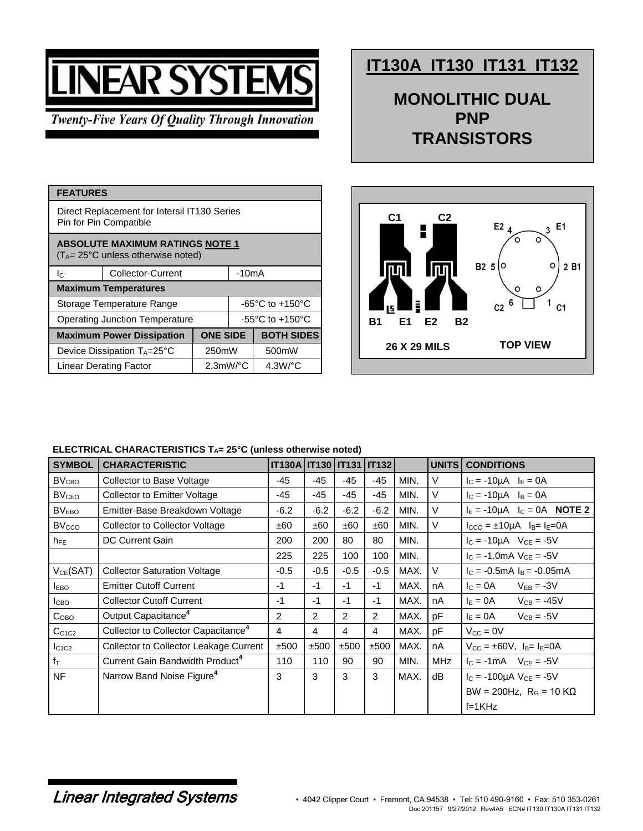## **VEAR SYSTEM**

**Twenty-Five Years Of Quality Through Innovation** 

## **IT130A IT130 IT131 IT132**

**MONOLITHIC DUAL PNP TRANSISTORS**

| <b>FEATURES</b>                                                                        |                                       |                        |                                     |                       |  |  |
|----------------------------------------------------------------------------------------|---------------------------------------|------------------------|-------------------------------------|-----------------------|--|--|
| Direct Replacement for Intersil IT130 Series<br>Pin for Pin Compatible                 |                                       |                        |                                     |                       |  |  |
| <b>ABSOLUTE MAXIMUM RATINGS NOTE 1</b><br>$(T_A = 25^{\circ}C$ unless otherwise noted) |                                       |                        |                                     |                       |  |  |
| $I_{\rm C}$                                                                            | <b>Collector-Current</b>              | -10mA                  |                                     |                       |  |  |
| <b>Maximum Temperatures</b>                                                            |                                       |                        |                                     |                       |  |  |
| Storage Temperature Range                                                              |                                       |                        | $-65^{\circ}$ C to $+150^{\circ}$ C |                       |  |  |
| Operating Junction Temperature                                                         |                                       |                        | $-55^{\circ}$ C to $+150^{\circ}$ C |                       |  |  |
|                                                                                        | <b>Maximum Power Dissipation</b>      | <b>ONE SIDE</b>        |                                     | <b>BOTH SIDES</b>     |  |  |
|                                                                                        | Device Dissipation $T_A = 25^\circ C$ | 250mW                  |                                     | 500mW                 |  |  |
|                                                                                        | <b>Linear Derating Factor</b>         | $2.3$ mW/ $^{\circ}$ C |                                     | $4.3W$ <sup>o</sup> C |  |  |



## **ELECTRICAL CHARACTERISTICS TA= 25°C (unless otherwise noted)**

| <b>SYMBOL</b>           | <b>CHARACTERISTIC</b>                           | <b>IT130A   IT130   IT131   IT132  </b> |        |               |        |      | <b>UNITS</b> | <b>CONDITIONS</b>                                              |
|-------------------------|-------------------------------------------------|-----------------------------------------|--------|---------------|--------|------|--------------|----------------------------------------------------------------|
| <b>BV<sub>CBO</sub></b> | Collector to Base Voltage                       | -45                                     | $-45$  | $-45$         | $-45$  | MIN. | $\vee$       | $I_C = -10\mu A$ $I_E = 0A$                                    |
| BV <sub>CEO</sub>       | <b>Collector to Emitter Voltage</b>             | $-45$                                   | -45    | -45           | $-45$  | MIN. | V            | $I_C = -10\mu A$ $I_B = 0A$                                    |
| BV <sub>EBO</sub>       | Emitter-Base Breakdown Voltage                  | $-6.2$                                  | $-6.2$ | $-6.2$        | $-6.2$ | MIN. | V            | $I_E = -10\mu A$ $I_C = 0A$ <b>NOTE 2</b>                      |
| <b>BVcco</b>            | <b>Collector to Collector Voltage</b>           | ±60                                     | ±60    | ±60           | ±60    | MIN. | $\vee$       | $I_{CCO} = \pm 10\mu A$ $I_B = I_E = 0A$                       |
| $h_{FE}$                | <b>DC Current Gain</b>                          | 200                                     | 200    | 80            | 80     | MIN. |              | $I_C = -10\mu A$ $V_{CE} = -5V$                                |
|                         |                                                 | 225                                     | 225    | 100           | 100    | MIN. |              | $I_c = -1.0 \text{mA}$ $V_{ce} = -5V$                          |
| $V_{CE}$ (SAT)          | <b>Collector Saturation Voltage</b>             | $-0.5$                                  | $-0.5$ | $-0.5$        | $-0.5$ | MAX. | $\vee$       | $I_C = -0.5mA I_B = -0.05mA$                                   |
| <b>I</b> EBO            | <b>Emitter Cutoff Current</b>                   | $-1$                                    | $-1$   | $-1$          | $-1$   | MAX. | nA           | $IC = 0A$<br>$V_{EB} = -3V$                                    |
| I <sub>СВО</sub>        | <b>Collector Cutoff Current</b>                 | $-1$                                    | $-1$   | $-1$          | $-1$   | MAX. | nA           | $I_E = 0A$<br>$V_{CB} = -45V$                                  |
| $C_{\text{OBO}}$        | Output Capacitance <sup>4</sup>                 | 2                                       | 2      | $\mathcal{P}$ | 2      | MAX. | pF           | $I_E = 0A$<br>$V_{CB} = -5V$                                   |
| C <sub>C1C2</sub>       | Collector to Collector Capacitance <sup>4</sup> | 4                                       | 4      | 4             | 4      | MAX. | pF           | $V_{\rm CC} = 0V$                                              |
| $I_{C1C2}$              | Collector to Collector Leakage Current          | ±500                                    | ±500   | ±500          | ±500   | MAX. | nA           | $V_{\text{CC}} = \pm 60V$ , $I_{\text{B}} = I_{\text{E}} = 0A$ |
| $f_T$                   | Current Gain Bandwidth Product <sup>4</sup>     | 110                                     | 110    | 90            | 90     | MIN. | <b>MHz</b>   | $I_C = -1mA$ $V_{CE} = -5V$                                    |
| <b>NF</b>               | Narrow Band Noise Figure <sup>4</sup>           | 3                                       | 3      | 3             | 3      | MAX. | dB           | $I_C = -100\mu A V_{CE} = -5V$                                 |
|                         |                                                 |                                         |        |               |        |      |              | BW = 200Hz, $R_G$ = 10 K $\Omega$                              |
|                         |                                                 |                                         |        |               |        |      |              | $f=1KHz$                                                       |